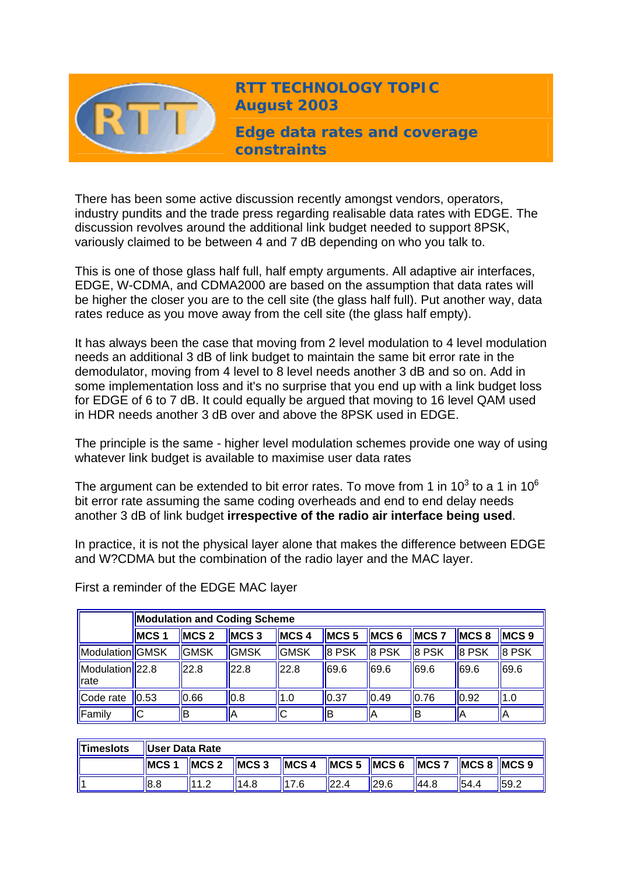

**RTT TECHNOLOGY TOPIC August 2003**

**Edge data rates and coverage constraints** 

There has been some active discussion recently amongst vendors, operators, industry pundits and the trade press regarding realisable data rates with EDGE. The discussion revolves around the additional link budget needed to support 8PSK, variously claimed to be between 4 and 7 dB depending on who you talk to.

This is one of those glass half full, half empty arguments. All adaptive air interfaces, EDGE, W-CDMA, and CDMA2000 are based on the assumption that data rates will be higher the closer you are to the cell site (the glass half full). Put another way, data rates reduce as you move away from the cell site (the glass half empty).

It has always been the case that moving from 2 level modulation to 4 level modulation needs an additional 3 dB of link budget to maintain the same bit error rate in the demodulator, moving from 4 level to 8 level needs another 3 dB and so on. Add in some implementation loss and it's no surprise that you end up with a link budget loss for EDGE of 6 to 7 dB. It could equally be argued that moving to 16 level QAM used in HDR needs another 3 dB over and above the 8PSK used in EDGE.

The principle is the same - higher level modulation schemes provide one way of using whatever link budget is available to maximise user data rates

The argument can be extended to bit error rates. To move from 1 in 10<sup>3</sup> to a 1 in 10<sup>6</sup> bit error rate assuming the same coding overheads and end to end delay needs another 3 dB of link budget **irrespective of the radio air interface being used**.

In practice, it is not the physical layer alone that makes the difference between EDGE and W?CDMA but the combination of the radio layer and the MAC layer.

|                         | <b>Modulation and Coding Scheme</b> |               |              |                |               |               |              |                    |                  |
|-------------------------|-------------------------------------|---------------|--------------|----------------|---------------|---------------|--------------|--------------------|------------------|
|                         | MCS <sub>1</sub>                    | <b>IMCS 2</b> | <b>IMCS3</b> | <b>IMCS4</b>   | <b>IMCS 5</b> | <b>IMCS 6</b> | <b>IMCS7</b> | IMCS 8             | MCS <sub>9</sub> |
| Modulation GMSK         |                                     | <b>GMSK</b>   | <b>GMSK</b>  | <b>I</b> IGMSK | 8 PSK         | 8 PSK         | 8 PSK        | 8 PSK              | 8 PSK            |
| Modulation 22.8<br>rate |                                     | 22.8          | 22.8         | 22.8           | 69.6          | 69.6          | 69.6         | 69.6               | 69.6             |
| Code rate               | 0.53                                | 0.66          | 0.8          | 1.0            | 0.37          | 0.49          | 0.76         | $\vert 0.92 \vert$ | 1.0              |
| Family                  | IС                                  | lВ            | IА           | llС            | ΙB            | ΙA            | lВ           | ΙA                 | IΑ               |

First a reminder of the EDGE MAC layer

| <b>Timeslots</b> | User Data Rate |                 |      |      |        |                                                                                                             |       |      |      |  |
|------------------|----------------|-----------------|------|------|--------|-------------------------------------------------------------------------------------------------------------|-------|------|------|--|
|                  | MCS            | $MCS 2$ $MCS 3$ |      |      |        | $\parallel$ MCS 4 $\parallel$ MCS 5 $\parallel$ MCS 6 $\parallel$ MCS 7 $\parallel$ MCS 8 $\parallel$ MCS 9 |       |      |      |  |
|                  | 8.8            | 111.2           | 14.8 | 17 6 | II22.4 | 29.6                                                                                                        | 144.8 | 54.4 | 59.2 |  |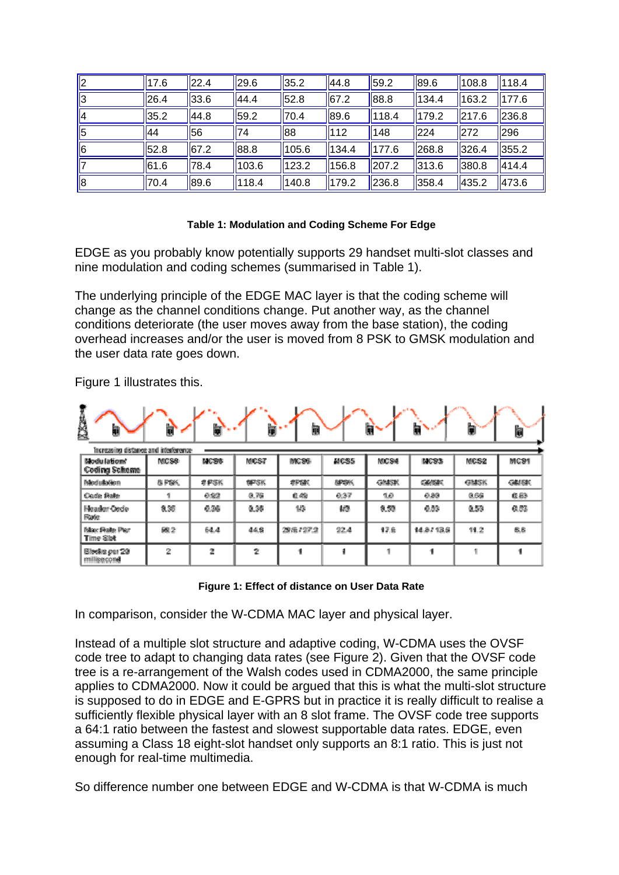| <u>  2</u> | 17.6 | 22.4 | 29.6  | 35.2  | 44.8             | 59.2  | 89.6  | 108.8 | 118.4 |
|------------|------|------|-------|-------|------------------|-------|-------|-------|-------|
| ∥3         | 26.4 | 33.6 | 44.4  | 52.8  | $\parallel$ 67.2 | 88.8  | 134.4 | 163.2 | 177.6 |
| 14         | 35.2 | 44.8 | 59.2  | 70.4  | 89.6             | 118.4 | 179.2 | 217.6 | 236.8 |
| 15         | 44   | 56   | 74    | 88    | 112              | 148   | 224   | 272   | 296   |
| 16         | 52.8 | 67.2 | 88.8  | 105.6 | 134.4            | 177.6 | 268.8 | 326.4 | 355.2 |
|            | 61.6 | 78.4 | 103.6 | 123.2 | 156.8            | 207.2 | 313.6 | 380.8 | 414.4 |
| 18         | 70.4 | 89.6 | 118.4 | 140.8 | 179.2            | 236.8 | 358.4 | 435.2 | 473.6 |

## **Table 1: Modulation and Coding Scheme For Edge**

EDGE as you probably know potentially supports 29 handset multi-slot classes and nine modulation and coding schemes (summarised in Table 1).

The underlying principle of the EDGE MAC layer is that the coding scheme will change as the channel conditions change. Put another way, as the channel conditions deteriorate (the user moves away from the base station), the coding overhead increases and/or the user is moved from 8 PSK to GMSK modulation and the user data rate goes down.

Figure 1 illustrates this.

| <b>Exert</b><br>D                     | è                | ь     | ⋿           | 餇                |             | O            | Π              |             | b            |
|---------------------------------------|------------------|-------|-------------|------------------|-------------|--------------|----------------|-------------|--------------|
| Increasing distance and interference- |                  |       |             |                  |             |              |                |             |              |
| Modulations'<br>Coding Scheme         | <b>MCS8</b>      | MC 88 | MCST        | MC <sub>20</sub> | MCS5        | <b>NICS4</b> | <b>MCS2</b>    | MCS2        | MC 91        |
| Medulation                            | <b>&amp; PSK</b> | 非伊塔的  | <b>SPSK</b> | SPEK             | <b>SPOK</b> | <b>GMSK</b>  | <b>GRASSIC</b> | <b>GMSK</b> | <b>GRISK</b> |
| Code filalle                          |                  | 0.92  | 0.76        | 0.49             | 0.37        | 10           | 0.80           | 0.66        | (日起)         |
| Header Oede<br>Rafe                   | 0.36             | 0.36  | 0.38        | 1/3              | 撼           | 0.53         | 0.53           | 0.53        | 0.5%         |
| Max Fisite Plan<br>Time Sist          | 豌2               | 64.4  | 44.8        | 29/6/27.2        | 22.4        | 17.6         | 14.8713.9      | 11.2        | 8.8          |
| Blocks per 29<br>millisecond          | 2                | 2     | 2           |                  | 1           |              | 4              | 4           |              |

**Figure 1: Effect of distance on User Data Rate**

In comparison, consider the W-CDMA MAC layer and physical layer.

Instead of a multiple slot structure and adaptive coding, W-CDMA uses the OVSF code tree to adapt to changing data rates (see Figure 2). Given that the OVSF code tree is a re-arrangement of the Walsh codes used in CDMA2000, the same principle applies to CDMA2000. Now it could be argued that this is what the multi-slot structure is supposed to do in EDGE and E-GPRS but in practice it is really difficult to realise a sufficiently flexible physical layer with an 8 slot frame. The OVSF code tree supports a 64:1 ratio between the fastest and slowest supportable data rates. EDGE, even assuming a Class 18 eight-slot handset only supports an 8:1 ratio. This is just not enough for real-time multimedia.

So difference number one between EDGE and W-CDMA is that W-CDMA is much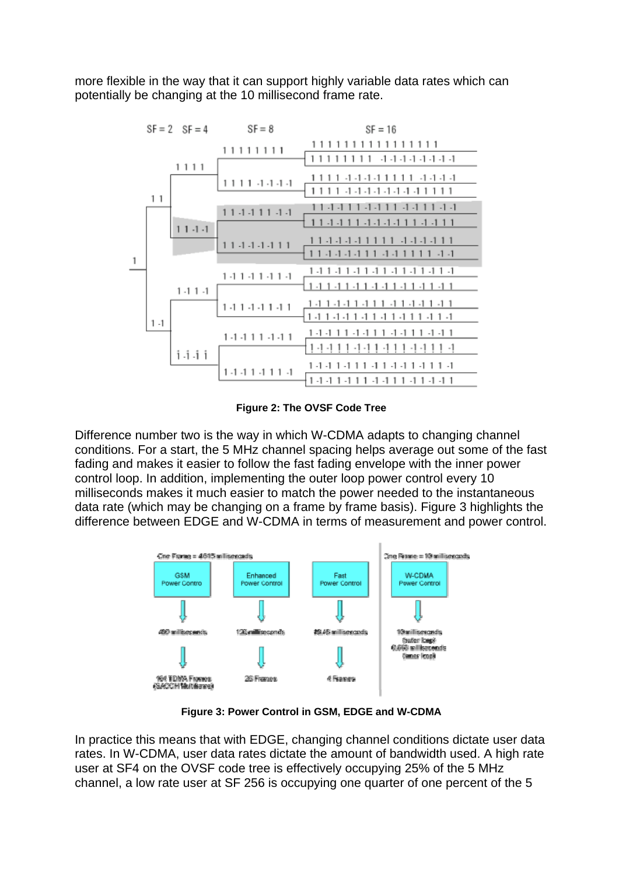more flexible in the way that it can support highly variable data rates which can potentially be changing at the 10 millisecond frame rate.



**Figure 2: The OVSF Code Tree**

Difference number two is the way in which W-CDMA adapts to changing channel conditions. For a start, the 5 MHz channel spacing helps average out some of the fast fading and makes it easier to follow the fast fading envelope with the inner power control loop. In addition, implementing the outer loop power control every 10 milliseconds makes it much easier to match the power needed to the instantaneous data rate (which may be changing on a frame by frame basis). Figure 3 highlights the difference between EDGE and W-CDMA in terms of measurement and power control.



**Figure 3: Power Control in GSM, EDGE and W-CDMA**

In practice this means that with EDGE, changing channel conditions dictate user data rates. In W-CDMA, user data rates dictate the amount of bandwidth used. A high rate user at SF4 on the OVSF code tree is effectively occupying 25% of the 5 MHz channel, a low rate user at SF 256 is occupying one quarter of one percent of the 5